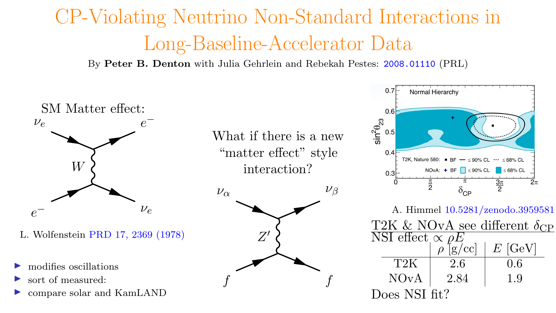# CP-Violating Neutrino Non-Standard Interactions in Long-Baseline-Accelerator Data

By Peter B. Denton with Julia Gehrlein and Rebekah Pestes: [2008.01110](https://arxiv.org/abs/2008.01110) (PRL)

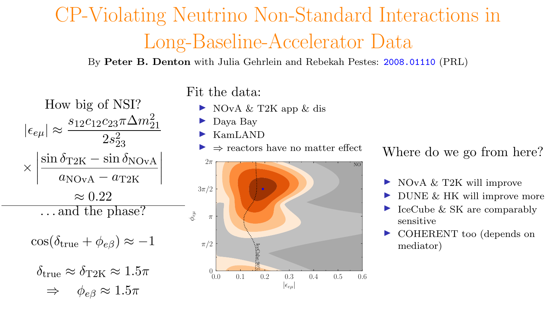## CP-Violating Neutrino Non-Standard Interactions in Long-Baseline-Accelerator Data

By Peter B. Denton with Julia Gehrlein and Rebekah Pestes: [2008.01110](https://arxiv.org/abs/2008.01110) (PRL)

### How big of NSI?  $|\epsilon_{e\mu}| \approx \frac{s_{12}c_{12}c_{23}\pi\Delta m^2_{21}}{2s_{22}^2}$  $2s_{23}^2$ ×  $\left|\frac{\sin \delta_{\rm T2K} - \sin \delta_{\rm NOvA}}{\rm D}\right|$  $\overline{\phantom{a}}$  $\mid$  $a_{\text{NOvA}} - a_{\text{T2K}}$ I  $\overline{\phantom{a}}$  $\approx 0.22$ . . . and the phase?  $\cos(\delta_{\text{true}} + \phi_{e\beta}) \approx -1$  $\delta_{\text{true}} \approx \delta_{\text{T2K}} \approx 1.5\pi$  $\Rightarrow \phi_{e} \approx 1.5\pi$

Fit the data:

- $\triangleright$  NOvA & T2K app & dis
- Daya Bay
- I KamLAND
- $\Rightarrow$  reactors have no matter effect



Where do we go from here?

- I NOvA & T2K will improve
- DUNE & HK will improve more
- IceCube & SK are comparably sensitive
- COHERENT too (depends on mediator)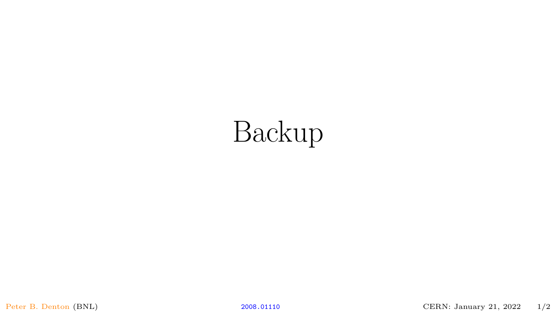# Backup